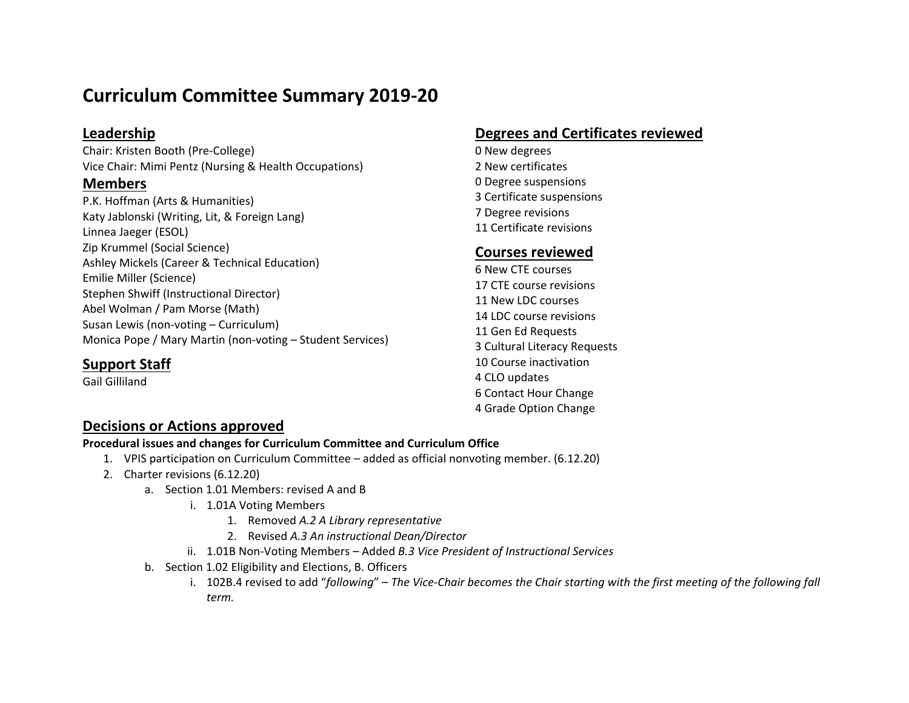# **Curriculum Committee Summary 2019-20**

## **Leadership**

Chair: Kristen Booth (Pre-College) Vice Chair: Mimi Pentz (Nursing & Health Occupations)

### **Members**

P.K. Hoffman (Arts & Humanities) Katy Jablonski (Writing, Lit, & Foreign Lang) Linnea Jaeger (ESOL) Zip Krummel (Social Science) Ashley Mickels (Career & Technical Education) Emilie Miller (Science) Stephen Shwiff (Instructional Director) Abel Wolman / Pam Morse (Math) Susan Lewis (non-voting – Curriculum) Monica Pope / Mary Martin (non-voting – Student Services)

# **Degrees and Certificates reviewed**

 New degrees New certificates Degree suspensions Certificate suspensions Degree revisions Certificate revisions

## **Courses reviewed**

 New CTE courses CTE course revisions New LDC courses LDC course revisions Gen Ed Requests Cultural Literacy Requests Course inactivation CLO updates 6 Contact Hour Change 4 Grade Option Change

# **Support Staff**

Gail Gilliland

# **Decisions or Actions approved**

#### **Procedural issues and changes for Curriculum Committee and Curriculum Office**

- 1. VPIS participation on Curriculum Committee added as official nonvoting member. (6.12.20)
- 2. Charter revisions (6.12.20)
	- a. Section 1.01 Members: revised A and B
		- i. 1.01A Voting Members
			- 1. Removed *A.2 A Library representative*
			- 2. Revised *A.3 An instructional Dean/Director*
		- ii. 1.01B Non-Voting Members Added *B.3 Vice President of Instructional Services*
	- b. Section 1.02 Eligibility and Elections, B. Officers
		- i. 102B.4 revised to add "*following*" *The Vice-Chair becomes the Chair starting with the first meeting of the following fall term.*